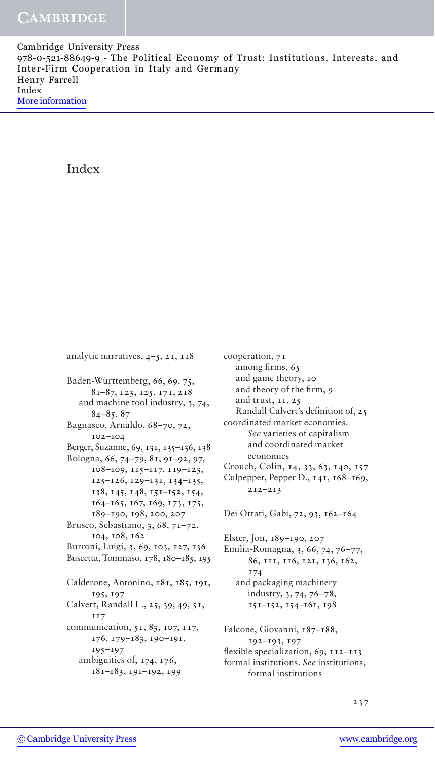Cambridge University Press 978-0-521-88649-9 - The Political Economy of Trust: Institutions, Interests, and Inter-Firm Cooperation in Italy and Germany Henry Farrell Index [More information](http://www.cambridge.org/9780521886499)

Index

analytic narratives, 4–5, 21, 118

Baden-Württemberg, 66, 69, 75, 81–87, 123, 125, 171, 218 and machine tool industry, 3, 74, 84–85, 87 Bagnasco, Arnaldo, 68–70, 72, 102–104 Berger, Suzanne, 69, 131, 135–136, 138 Bologna, 66, 74–79, 81, 91–92, 97, 108–109, 115–117, 119–123, 125–126, 129–131, 134–135, 138, 145, 148, 1**51–152**, 154, 164–165, 167, 169, 173, 175, 189–190, 198, 200, 207 Brusco, Sebastiano, 3, 68, 71–72, 104, 108, 162 Burroni, Luigi, 3, 69, 103, 127, 136 Buscetta, Tommaso, 178, 180–185, 195 Calderone, Antonino, 181, 185, 191, 195, 197 Calvert, Randall L., 25, 39, 49, 51, 117 communication, 51, 83, 107, 117, 176, 179–183, 190–191, 195–197 ambiguities of, 174, 176, 181–183, 191–192, 199

among firms, 65 and game theory, 10 and theory of the firm, 9 and trust, 11, 25 Randall Calvert's definition of, 25 coordinated market economies. *See* varieties of capitalism and coordinated market economies Crouch, Colin, 14, 33, 63, 140, 157 Culpepper, Pepper D., 141, 168–169, 212–213 Dei Ottati, Gabi, 72, 93, 162–164 Elster, Jon, 189–190, 207 Emilia-Romagna, 3, 66, 74, 76–77, 86, 111, 116, 121, 136, 162, 174 and packaging machinery industry, 3, 74, 76–78, 151–152, 154–161, 198 Falcone, Giovanni, 187–188, 192–193, 197 flexible specialization, 69, 112–113 formal institutions. *See* institutions, formal institutions

cooperation, 71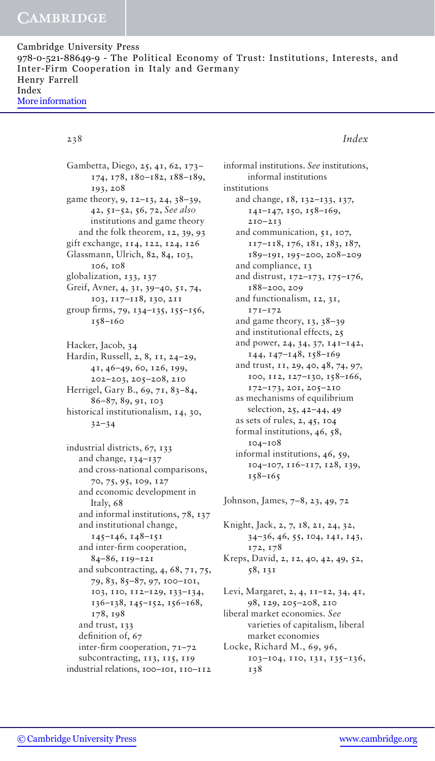# **CAMBRIDGE**

| Cambridge University Press                                                       |  |
|----------------------------------------------------------------------------------|--|
| 978-0-521-88649-9 – The Political Economy of Trust: Institutions, Interests, and |  |
| Inter-Firm Cooperation in Italy and Germany                                      |  |
| Henry Farrell                                                                    |  |
| Index                                                                            |  |
| More information                                                                 |  |

### 238 *Index*

Gambetta, Diego, 25, 41, 62, 173– 174, 178, 180–182, 188–189, 193, 208 game theory, 9, 12–13, 24, 38–39, 42, 51–52, 56, 72, *See also*  institutions and game theory and the folk theorem, 12, 39, 93 gift exchange, 114, 122, 124, 126 Glassmann, Ulrich, 82, 84, 103, 106, 108 globalization, 133, 137 Greif, Avner, 4, 31, 39–40, 51, 74, 103, 117–118, 130, 211 group firms, 79, 134–135, 155–156, 158–160 Hacker, Jacob, 34 Hardin, Russell, 2, 8, 11, 24–29, 41, 46–49, 60, 126, 199, 202–203, 205–208, 210 Herrigel, Gary B., 69, 71, 83–84, 86–87, 89, 91, 103 historical institutionalism, 14, 30, 32–34 industrial districts, 67, 133 and change, 134–137 and cross-national comparisons, 70, 75, 95, 109, 127

and economic development in Italy, 68 and informal institutions, 78, 137 and institutional change, 145–146, 148–151 and inter-firm cooperation, 84–86, 119–121 and subcontracting, 4, 68, 71, 75, 79, 83, 85–87, 97, 100–101, 103, 110, 112–129, 133–134, 136–138, 145–152, 156–168, 178, 198 and trust, 133 definition of, 67 inter-firm cooperation, 71–72 subcontracting, 113, 115, 119 industrial relations, 100–101, 110–112

informal institutions. *See* institutions, informal institutions institutions and change, 18, 132–133, 137, 141–147, 150, 158–169, 210–213 and communication, 51, 107, 117–118, 176, 181, 183, 187, 189–191, 195–200, 208–209 and compliance, 13 and distrust, 172–173, 175–176, 188–200, 209 and functionalism, 12, 31, 171–172 and game theory, 13, 38–39 and institutional effects, 25 and power, 24, 34, 37, 141–142, 144, 147–148, 158–169 and trust, 11, 29, 40, 48, 74, 97, 100, 112, 127–130, 158–166, 172–173, 201, 205–210 as mechanisms of equilibrium selection, 25, 42–44, 49 as sets of rules, 2, 45, 104 formal institutions, 46, 58, 104–108 informal institutions, 46, 59, 104–107, 116–117, 128, 139, 158–165

Johnson, James, 7–8, 23, 49, 72

Knight, Jack, 2, 7, 18, 21, 24, 32, 34–36, 46, 55, 104, 141, 143, 172, 178 Kreps, David, 2, 12, 40, 42, 49, 52, 58, 131 Levi, Margaret, 2, 4, 11–12, 34, 41, 98, 129, 205–208, 210 liberal market economies. *See*  varieties of capitalism, liberal

market economies Locke, Richard M., 69, 96, 103–104, 110, 131, 135–136, 138